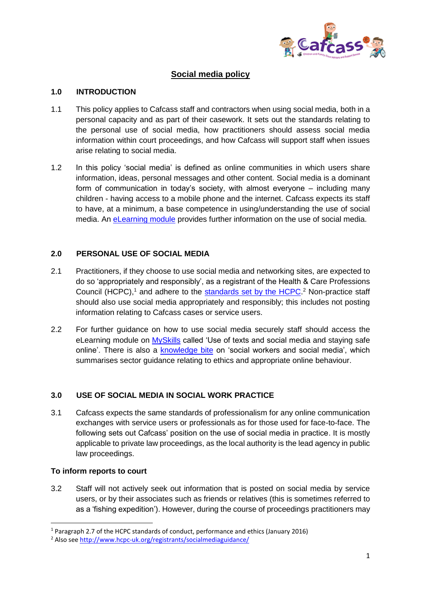

# **Social media policy**

#### **1.0 INTRODUCTION**

- 1.1 This policy applies to Cafcass staff and contractors when using social media, both in a personal capacity and as part of their casework. It sets out the standards relating to the personal use of social media, how practitioners should assess social media information within court proceedings, and how Cafcass will support staff when issues arise relating to social media.
- 1.2 In this policy 'social media' is defined as online communities in which users share information, ideas, personal messages and other content. Social media is a dominant form of communication in today's society, with almost everyone – including many children - having access to a mobile phone and the internet. Cafcass expects its staff to have, at a minimum, a base competence in using/understanding the use of social media. An [eLearning module](http://cafcass.learningpool.com/) provides further information on the use of social media.

### **2.0 PERSONAL USE OF SOCIAL MEDIA**

- 2.1 Practitioners, if they choose to use social media and networking sites, are expected to do so 'appropriately and responsibly', as a registrant of the Health & Care Professions Council (HCPC),<sup>1</sup> and adhere to the [standards set by the HCPC.](http://www.hcpc-uk.org/Assets/documents/100035B7Social_media_guidance.pdf)<sup>2</sup> Non-practice staff should also use social media appropriately and responsibly; this includes not posting information relating to Cafcass cases or service users.
- 2.2 For further guidance on how to use social media securely staff should access the eLearning module on [MySkills](http://cafcass.learningpool.com/) called 'Use of texts and social media and staying safe online'. There is also a [knowledge bite](http://cafcass.learningpool.com/course/view.php?id=567) on 'social workers and social media', which summarises sector guidance relating to ethics and appropriate online behaviour.

# **3.0 USE OF SOCIAL MEDIA IN SOCIAL WORK PRACTICE**

3.1 Cafcass expects the same standards of professionalism for any online communication exchanges with service users or professionals as for those used for face-to-face. The following sets out Cafcass' position on the use of social media in practice. It is mostly applicable to private law proceedings, as the local authority is the lead agency in public law proceedings.

#### **To inform reports to court**

**.** 

3.2 Staff will not actively seek out information that is posted on social media by service users, or by their associates such as friends or relatives (this is sometimes referred to as a 'fishing expedition'). However, during the course of proceedings practitioners may

<sup>1</sup> Paragraph 2.7 of the HCPC standards of conduct, performance and ethics (January 2016)

<sup>2</sup> Also see<http://www.hcpc-uk.org/registrants/socialmediaguidance/>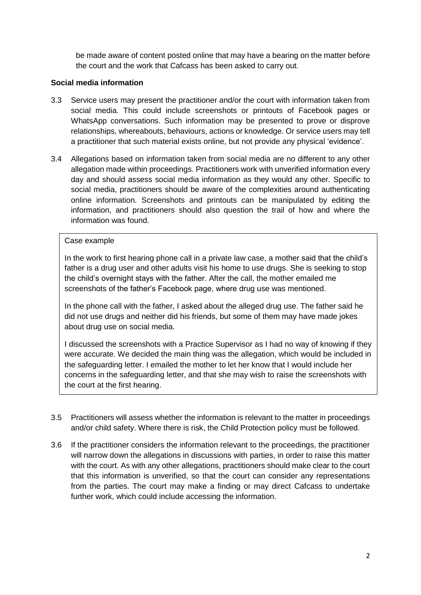be made aware of content posted online that may have a bearing on the matter before the court and the work that Cafcass has been asked to carry out.

### **Social media information**

- 3.3 Service users may present the practitioner and/or the court with information taken from social media. This could include screenshots or printouts of Facebook pages or WhatsApp conversations. Such information may be presented to prove or disprove relationships, whereabouts, behaviours, actions or knowledge. Or service users may tell a practitioner that such material exists online, but not provide any physical 'evidence'.
- 3.4 Allegations based on information taken from social media are no different to any other allegation made within proceedings. Practitioners work with unverified information every day and should assess social media information as they would any other. Specific to social media, practitioners should be aware of the complexities around authenticating online information. Screenshots and printouts can be manipulated by editing the information, and practitioners should also question the trail of how and where the information was found.

#### Case example

In the work to first hearing phone call in a private law case, a mother said that the child's father is a drug user and other adults visit his home to use drugs. She is seeking to stop the child's overnight stays with the father. After the call, the mother emailed me screenshots of the father's Facebook page, where drug use was mentioned.

In the phone call with the father, I asked about the alleged drug use. The father said he did not use drugs and neither did his friends, but some of them may have made jokes about drug use on social media.

I discussed the screenshots with a Practice Supervisor as I had no way of knowing if they were accurate. We decided the main thing was the allegation, which would be included in the safeguarding letter. I emailed the mother to let her know that I would include her concerns in the safeguarding letter, and that she may wish to raise the screenshots with the court at the first hearing.

- 3.5 Practitioners will assess whether the information is relevant to the matter in proceedings and/or child safety. Where there is risk, the Child Protection policy must be followed.
- 3.6 If the practitioner considers the information relevant to the proceedings, the practitioner will narrow down the allegations in discussions with parties, in order to raise this matter with the court. As with any other allegations, practitioners should make clear to the court that this information is unverified, so that the court can consider any representations from the parties. The court may make a finding or may direct Cafcass to undertake further work, which could include accessing the information.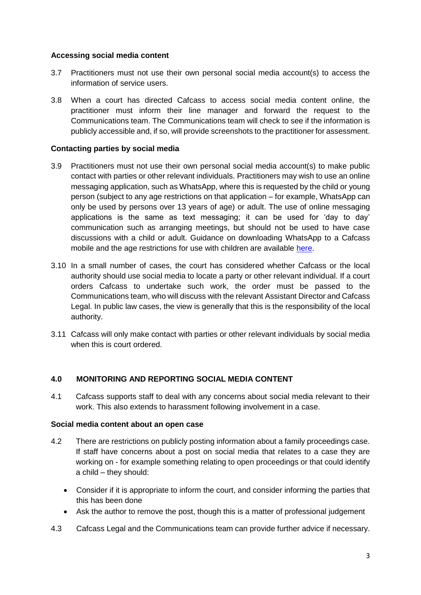### **Accessing social media content**

- 3.7 Practitioners must not use their own personal social media account(s) to access the information of service users.
- 3.8 When a court has directed Cafcass to access social media content online, the practitioner must inform their line manager and forward the request to the Communications team. The Communications team will check to see if the information is publicly accessible and, if so, will provide screenshots to the practitioner for assessment.

### **Contacting parties by social media**

- 3.9 Practitioners must not use their own personal social media account(s) to make public contact with parties or other relevant individuals. Practitioners may wish to use an online messaging application, such as WhatsApp, where this is requested by the child or young person (subject to any age restrictions on that application – for example, WhatsApp can only be used by persons over 13 years of age) or adult. The use of online messaging applications is the same as text messaging; it can be used for 'day to day' communication such as arranging meetings, but should not be used to have case discussions with a child or adult. Guidance on downloading WhatsApp to a Cafcass mobile and the age restrictions for use with children are available [here.](http://intranet4cafcass/departments/Documents/Policy/Social%20media/WhatsApp%20guidance.pdf)
- 3.10 In a small number of cases, the court has considered whether Cafcass or the local authority should use social media to locate a party or other relevant individual. If a court orders Cafcass to undertake such work, the order must be passed to the Communications team, who will discuss with the relevant Assistant Director and Cafcass Legal. In public law cases, the view is generally that this is the responsibility of the local authority.
- 3.11 Cafcass will only make contact with parties or other relevant individuals by social media when this is court ordered.

# **4.0 MONITORING AND REPORTING SOCIAL MEDIA CONTENT**

4.1 Cafcass supports staff to deal with any concerns about social media relevant to their work. This also extends to harassment following involvement in a case.

#### **Social media content about an open case**

- 4.2 There are restrictions on publicly posting information about a family proceedings case. If staff have concerns about a post on social media that relates to a case they are working on - for example something relating to open proceedings or that could identify a child – they should:
	- Consider if it is appropriate to inform the court, and consider informing the parties that this has been done
	- Ask the author to remove the post, though this is a matter of professional judgement
- 4.3 Cafcass Legal and the Communications team can provide further advice if necessary.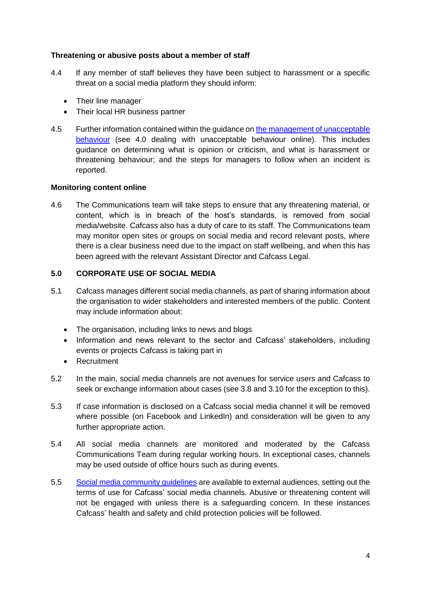### **Threatening or abusive posts about a member of staff**

- 4.4 If any member of staff believes they have been subject to harassment or a specific threat on a social media platform they should inform:
	- Their line manager
	- Their local HR business partner
- 4.5 Further information contained within the guidance on [the management of unacceptable](http://intranet4cafcass/departments/Documents/Estates/Health%20and%20Safety%20Guidance/Guidance%20on%20the%20Management%20of%20Unacceptable%20Behaviour%20-%2016.02.2017.pdf)  [behaviour](http://intranet4cafcass/departments/Documents/Estates/Health%20and%20Safety%20Guidance/Guidance%20on%20the%20Management%20of%20Unacceptable%20Behaviour%20-%2016.02.2017.pdf) (see 4.0 dealing with unacceptable behaviour online). This includes guidance on determining what is opinion or criticism, and what is harassment or threatening behaviour; and the steps for managers to follow when an incident is reported.

#### **Monitoring content online**

4.6 The Communications team will take steps to ensure that any threatening material, or content, which is in breach of the host's standards, is removed from social media/website. Cafcass also has a duty of care to its staff. The Communications team may monitor open sites or groups on social media and record relevant posts, where there is a clear business need due to the impact on staff wellbeing, and when this has been agreed with the relevant Assistant Director and Cafcass Legal.

### **5.0 CORPORATE USE OF SOCIAL MEDIA**

- 5.1 Cafcass manages different social media channels, as part of sharing information about the organisation to wider stakeholders and interested members of the public. Content may include information about:
	- The organisation, including links to news and blogs
	- Information and news relevant to the sector and Cafcass' stakeholders, including events or projects Cafcass is taking part in
	- **•** Recruitment
- 5.2 In the main, social media channels are not avenues for service users and Cafcass to seek or exchange information about cases (see 3.8 and 3.10 for the exception to this).
- 5.3 If case information is disclosed on a Cafcass social media channel it will be removed where possible (on Facebook and LinkedIn) and consideration will be given to any further appropriate action.
- 5.4 All social media channels are monitored and moderated by the Cafcass Communications Team during regular working hours. In exceptional cases, channels may be used outside of office hours such as during events.
- 5.5 [Social media community guidelines](https://www.cafcass.gov.uk/contact-us/cafcass-social-media-community-guidelines.aspx) are available to external audiences, setting out the terms of use for Cafcass' social media channels. Abusive or threatening content will not be engaged with unless there is a safeguarding concern. In these instances Cafcass' health and safety and child protection policies will be followed.